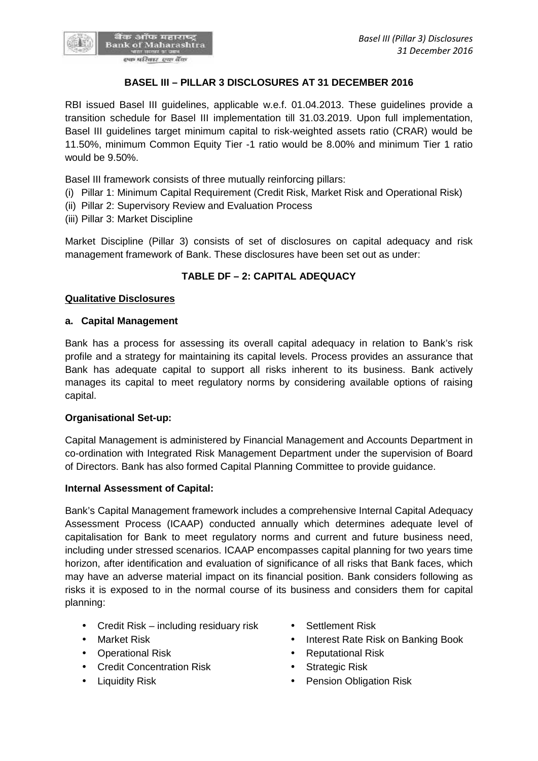

## **BASEL III – PILLAR 3 DISCLOSURES AT 31 DECEMBER 2016**

RBI issued Basel III guidelines, applicable w.e.f. 01.04.2013. These guidelines provide a transition schedule for Basel III implementation till 31.03.2019. Upon full implementation, Basel III guidelines target minimum capital to risk-weighted assets ratio (CRAR) would be 11.50%, minimum Common Equity Tier -1 ratio would be 8.00% and minimum Tier 1 ratio would be 9.50%.

Basel III framework consists of three mutually reinforcing pillars:

- (i) Pillar 1: Minimum Capital Requirement (Credit Risk, Market Risk and Operational Risk)
- (ii) Pillar 2: Supervisory Review and Evaluation Process
- (iii) Pillar 3: Market Discipline

Market Discipline (Pillar 3) consists of set of disclosures on capital adequacy and risk management framework of Bank. These disclosures have been set out as under:

## **TABLE DF – 2:CAPITAL ADEQUACY**

#### **Qualitative Disclosures**

#### **a. Capital Management**

Bank has a process for assessing its overall capital adequacy in relation to Bank's risk profile and a strategy for maintaining its capital levels. Process provides an assurance that Bank has adequate capital to support all risks inherent to its business. Bank actively manages its capital to meet regulatory norms by considering available options of raising capital.

#### **Organisational Set-up:**

Capital Management is administered by Financial Management and Accounts Department in co-ordination with Integrated Risk Management Department under the supervision of Board of Directors. Bank has also formed Capital Planning Committee to provide guidance.

#### **Internal Assessment of Capital:**

Bank's Capital Management framework includes a comprehensive Internal Capital Adequacy Assessment Process (ICAAP) conducted annually which determines adequate level of capitalisation for Bank to meet regulatory norms and current and future business need, including under stressed scenarios. ICAAP encompasses capital planning for two years time horizon, after identification and evaluation of significance of all risks that Bank faces, which may have an adverse material impact on its financial position. Bank considers following as risks it is exposed to in the normal course of its business and considers them for capital planning:

- Credit Risk including residuary risk Settlement Risk
- 
- 
- Credit Concentration Risk Strategic Risk
- 
- 
- Market Risk **Interest Rate Risk on Banking Book**
- Operational Risk **Constanting Constanting Constanting Constanting Constanting Constanting Constanting Constanting Constanting Constanting Constanting Constanting Constanting Constanting Constanting Constanting Constantin** 
	-
- Liquidity Risk  **Pension Obligation Risk**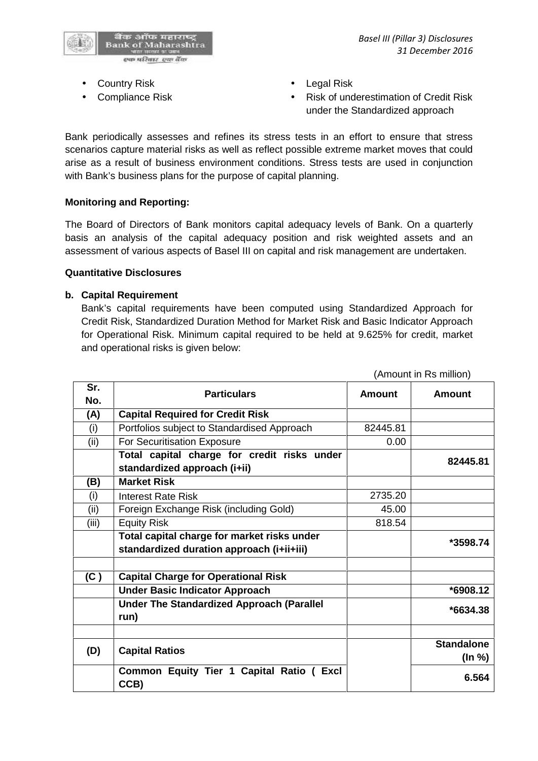

- Country Risk **Country Risk Country Risk Country Risk**
- 
- 
- Compliance Risk **COMPLIANCE Risk COMPLIANCE Risk of underestimation of Credit Risk** under the Standardized approach

Bank periodically assesses and refines its stress tests in an effort to ensure that stress scenarios capture material risks as well as reflect possible extreme market moves that could arise as a result of business environment conditions. Stress tests are used in conjunction with Bank's business plans for the purpose of capital planning.

#### **Monitoring and Reporting:**

The Board of Directors of Bank monitors capital adequacy levels of Bank. On a quarterly basis an analysis of the capital adequacy position and risk weighted assets and an assessment of various aspects of Basel III on capital and risk management are undertaken.

#### **Quantitative Disclosures**

#### **b. Capital Requirement**

Bank's capital requirements have been computed using Standardized Approach for Credit Risk, Standardized Duration Method for Market Risk and Basic Indicator Approach for Operational Risk. Minimum capital required to be held at 9.625% for credit, market and operational risks is given below:

|            |                                                                                          | (Amount in Rs million) |                             |  |
|------------|------------------------------------------------------------------------------------------|------------------------|-----------------------------|--|
| Sr.<br>No. | <b>Particulars</b>                                                                       | <b>Amount</b>          | <b>Amount</b>               |  |
| (A)        | <b>Capital Required for Credit Risk</b>                                                  |                        |                             |  |
| (i)        | Portfolios subject to Standardised Approach                                              | 82445.81               |                             |  |
| (ii)       | For Securitisation Exposure                                                              | 0.00                   |                             |  |
|            | Total capital charge for credit risks under<br>standardized approach (i+ii)              |                        | 82445.81                    |  |
| (B)        | <b>Market Risk</b>                                                                       |                        |                             |  |
| (i)        | <b>Interest Rate Risk</b>                                                                | 2735.20                |                             |  |
| (ii)       | Foreign Exchange Risk (including Gold)                                                   | 45.00                  |                             |  |
| (iii)      | <b>Equity Risk</b>                                                                       | 818.54                 |                             |  |
|            | Total capital charge for market risks under<br>standardized duration approach (i+ii+iii) |                        | *3598.74                    |  |
| (C)        | <b>Capital Charge for Operational Risk</b>                                               |                        |                             |  |
|            | <b>Under Basic Indicator Approach</b>                                                    |                        | $*6908.12$                  |  |
|            | <b>Under The Standardized Approach (Parallel</b><br>run)                                 |                        | $*6634.38$                  |  |
|            |                                                                                          |                        |                             |  |
| (D)        | <b>Capital Ratios</b>                                                                    |                        | <b>Standalone</b><br>(In %) |  |
|            | Common Equity Tier 1 Capital Ratio (<br>Excl<br>CCB)                                     |                        | 6.564                       |  |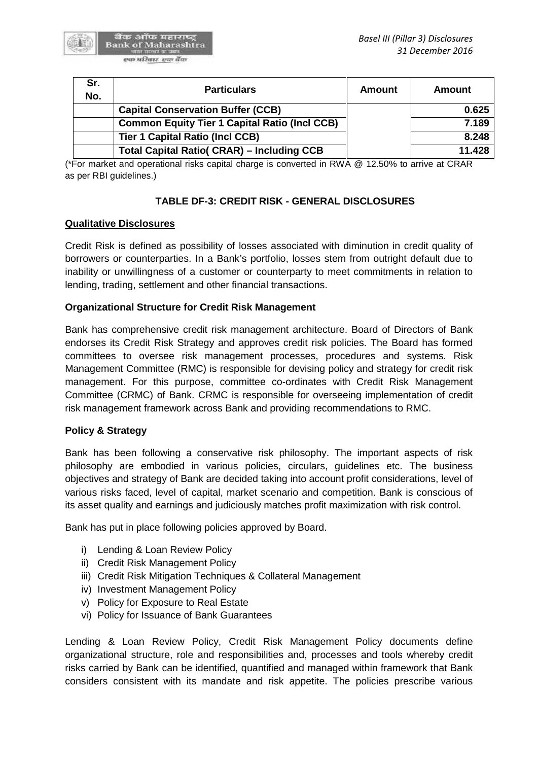

| Sr.<br>No. | <b>Particulars</b>                                   | Amount | Amount |
|------------|------------------------------------------------------|--------|--------|
|            | <b>Capital Conservation Buffer (CCB)</b>             |        | 0.625  |
|            | <b>Common Equity Tier 1 Capital Ratio (Incl CCB)</b> |        | 7.189  |
|            | <b>Tier 1 Capital Ratio (Incl CCB)</b>               |        | 8.248  |
|            | <b>Total Capital Ratio( CRAR) - Including CCB</b>    |        | 11.428 |

(\*For market and operational risks capital charge is converted in RWA @ 12.50% to arrive at CRAR as per RBI guidelines.)

## **TABLE DF-3: CREDIT RISK - GENERAL DISCLOSURES**

#### **Qualitative Disclosures**

Credit Risk is defined as possibility of losses associated with diminution in credit quality of borrowers or counterparties. In a Bank's portfolio, losses stem from outright default due to inability or unwillingness of a customer or counterparty to meet commitments in relation to lending, trading, settlement and other financial transactions.

#### **Organizational Structure for Credit Risk Management**

Bank has comprehensive credit risk management architecture. Board of Directors of Bank endorses its Credit Risk Strategy and approves credit risk policies. The Board has formed committees to oversee risk management processes, procedures and systems. Risk Management Committee (RMC) is responsible for devising policy and strategy for credit risk management. For this purpose, committee co-ordinates with Credit Risk Management Committee (CRMC) of Bank. CRMC is responsible for overseeing implementation of credit risk management framework across Bank and providing recommendations to RMC.

#### **Policy & Strategy**

Bank has been following a conservative risk philosophy. The important aspects of risk philosophy are embodied in various policies, circulars, guidelines etc. The business objectives and strategy of Bank are decided taking into account profit considerations, level of various risks faced, level of capital, market scenario and competition. Bank is conscious of its asset quality and earnings and judiciously matches profit maximization with risk control.

Bank has put in place following policies approved by Board.

- i) Lending & Loan Review Policy
- ii) Credit Risk Management Policy
- iii) Credit Risk Mitigation Techniques & Collateral Management
- iv) Investment Management Policy
- v) Policy for Exposure to Real Estate
- vi) Policy for Issuance of Bank Guarantees

Lending & Loan Review Policy, Credit Risk Management Policy documents define organizational structure, role and responsibilities and, processes and tools whereby credit risks carried by Bank can be identified, quantified and managed within framework that Bank considers consistent with its mandate and risk appetite. The policies prescribe various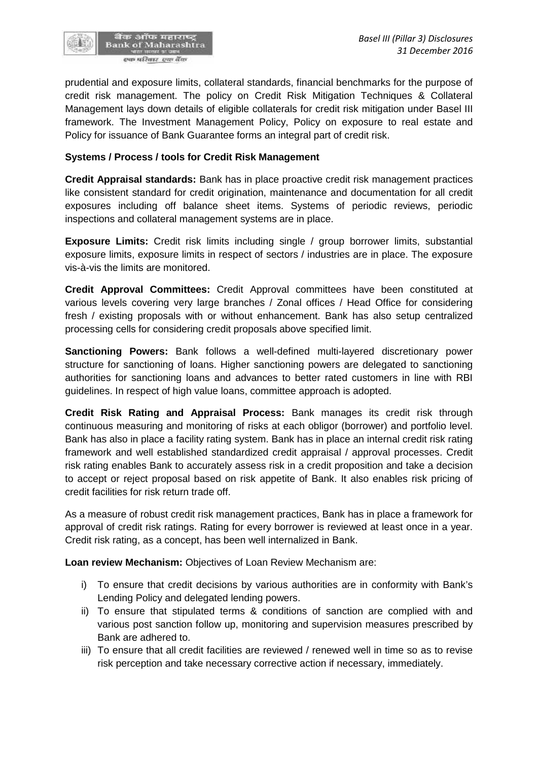

prudential and exposure limits, collateral standards, financial benchmarks for the purpose of credit risk management. The policy on Credit Risk Mitigation Techniques & Collateral Management lays down details of eligible collaterals for credit risk mitigation under Basel III framework. The Investment Management Policy, Policy on exposure to real estate and Policy for issuance of Bank Guarantee forms an integral part of credit risk.

### **Systems / Process / tools for Credit Risk Management**

**Credit Appraisal standards:** Bank has in place proactive credit risk management practices like consistent standard for credit origination, maintenance and documentation for all credit exposures including off balance sheet items. Systems of periodic reviews, periodic inspections and collateral management systems are in place.

**Exposure Limits:** Credit risk limits including single / group borrower limits, substantial exposure limits, exposure limits in respect of sectors / industries are in place. The exposure vis-à-vis the limits are monitored.

**Credit Approval Committees:** Credit Approval committees have been constituted at various levels covering very large branches / Zonal offices / Head Office for considering fresh / existing proposals with or without enhancement. Bank has also setup centralized processing cells for considering credit proposals above specified limit.

**Sanctioning Powers:** Bank follows a well-defined multi-layered discretionary power structure for sanctioning of loans. Higher sanctioning powers are delegated to sanctioning authorities for sanctioning loans and advances to better rated customers in line with RBI guidelines. In respect of high value loans, committee approach is adopted.

**Credit Risk Rating and Appraisal Process:** Bank manages its credit risk through continuous measuring and monitoring of risks at each obligor (borrower) and portfolio level. Bank has also in place a facility rating system. Bank has in place an internal credit risk rating framework and well established standardized credit appraisal / approval processes. Credit risk rating enables Bank to accurately assess risk in a credit proposition and take a decision to accept or reject proposal based on risk appetite of Bank. It also enables risk pricing of credit facilities for risk return trade off.

As a measure of robust credit risk management practices, Bank has in place a framework for approval of credit risk ratings. Rating for every borrower is reviewed at least once in a year. Credit risk rating, as a concept, has been well internalized in Bank.

**Loan review Mechanism:** Objectives of Loan Review Mechanism are:

- i) To ensure that credit decisions by various authorities are in conformity with Bank's Lending Policy and delegated lending powers.
- ii) To ensure that stipulated terms & conditions of sanction are complied with and various post sanction follow up, monitoring and supervision measures prescribed by Bank are adhered to.
- iii) To ensure that all credit facilities are reviewed / renewed well in time so as to revise risk perception and take necessary corrective action if necessary, immediately.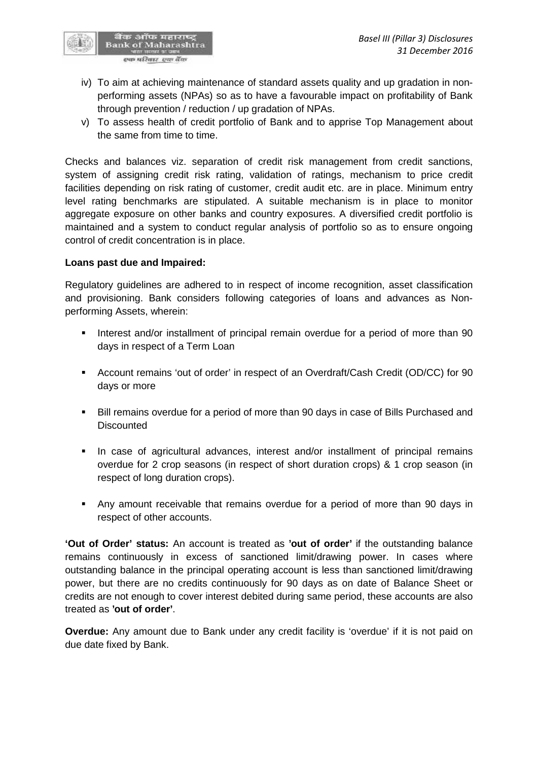

- iv) To aim at achieving maintenance of standard assets quality and up gradation in non performing assets (NPAs) so as to have a favourable impact on profitability of Bank through prevention / reduction / up gradation of NPAs.
- v) To assess health of credit portfolio of Bank and to apprise Top Management about the same from time to time.

Checks and balances viz. separation of credit risk management from credit sanctions, system of assigning credit risk rating, validation of ratings, mechanism to price credit facilities depending on risk rating of customer, credit audit etc. are in place. Minimum entry level rating benchmarks are stipulated. A suitable mechanism is in place to monitor aggregate exposure on other banks and country exposures. A diversified credit portfolio is maintained and a system to conduct regular analysis of portfolio so as to ensure ongoing control of credit concentration is in place.

#### **Loans past due and Impaired:**

Regulatory guidelines are adhered to in respect of income recognition, asset classification and provisioning. Bank considers following categories of loans and advances as Non performing Assets, wherein:

- Interest and/or installment of principal remain overdue for a period of more than 90 days in respect of a Term Loan
- Account remains 'out of order' in respect of an Overdraft/Cash Credit (OD/CC) for 90 days or more
- Bill remains overdue for a period of more than 90 days in case of Bills Purchased and **Discounted**
- In case of agricultural advances, interest and/or installment of principal remains overdue for 2 crop seasons (in respect of short duration crops) & 1 crop season (in respect of long duration crops).
- Any amount receivable that remains overdue for a period of more than 90 days in respect of other accounts.

**'Out of Order' status:** An account is treated as **'out of order'** if the outstanding balance remains continuously in excess of sanctioned limit/drawing power. In cases where outstanding balance in the principal operating account is less than sanctioned limit/drawing power, but there are no credits continuously for 90 days as on date of Balance Sheet or credits are not enough to cover interest debited during same period, these accounts are also treated as **'out of order'**.

**Overdue:** Any amount due to Bank under any credit facility is 'overdue' if it is not paid on due date fixed by Bank.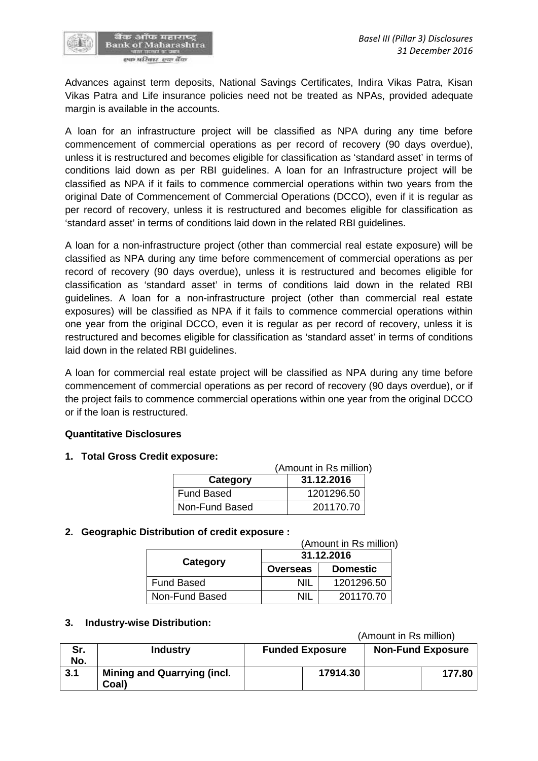Advances against term deposits, National Savings Certificates, Indira Vikas Patra, Kisan Vikas Patra and Life insurance policies need not be treated as NPAs, provided adequate margin is available in the accounts.

A loan for an infrastructure project will be classified as NPA during any time before commencement of commercial operations as per record of recovery (90 days overdue), unless it is restructured and becomes eligible for classification as 'standard asset' in terms of conditions laid down as per RBI guidelines. A loan for an Infrastructure project will be classified as NPA if it fails to commence commercial operations within two years from the original Date of Commencement of Commercial Operations (DCCO), even if it is regular as per record of recovery, unless it is restructured and becomes eligible for classification as 'standard asset' in terms of conditions laid down in the related RBI guidelines.

A loan for a non-infrastructure project (other than commercial real estate exposure) will be classified as NPA during any time before commencement of commercial operations as per record of recovery (90 days overdue), unless it is restructured and becomes eligible for classification as 'standard asset' in terms of conditions laid down in the related RBI guidelines. A loan for a non-infrastructure project (other than commercial real estate exposures) will be classified as NPA if it fails to commence commercial operations within one year from the original DCCO, even it is regular as per record of recovery, unless it is restructured and becomes eligible for classification as 'standard asset' in terms of conditions laid down in the related RBI guidelines.

A loan for commercial real estate project will be classified as NPA during any time before commencement of commercial operations as per record of recovery (90 days overdue), or if the project fails to commence commercial operations within one year from the original DCCO or if the loan is restructured.

#### **Quantitative Disclosures**

#### **1. Total Gross Credit exposure:**

|                   | (Amount in Rs million) |  |  |
|-------------------|------------------------|--|--|
| Category          | 31.12.2016             |  |  |
| <b>Fund Based</b> | 1201296.50             |  |  |
| Non-Fund Based    | 201170.70              |  |  |

#### **2. Geographic Distribution of credit exposure :**

|                   | (Amount in Rs million) |                 |  |
|-------------------|------------------------|-----------------|--|
|                   | 31.12.2016             |                 |  |
| Category          | <b>Overseas</b>        | <b>Domestic</b> |  |
| <b>Fund Based</b> | NIL                    | 1201296.50      |  |
| Non-Fund Based    | NII                    | 201170.70       |  |

#### **3. Industry-wise Distribution:**

(Amount in Rs million)

| Sr.<br>No. | <b>Industry</b>                             | <b>Funded Exposure</b> | <b>Non-Fund Exposure</b> |
|------------|---------------------------------------------|------------------------|--------------------------|
| 3.1        | <b>Mining and Quarrying (incl.</b><br>Coal) | 17914.30               | 177.80                   |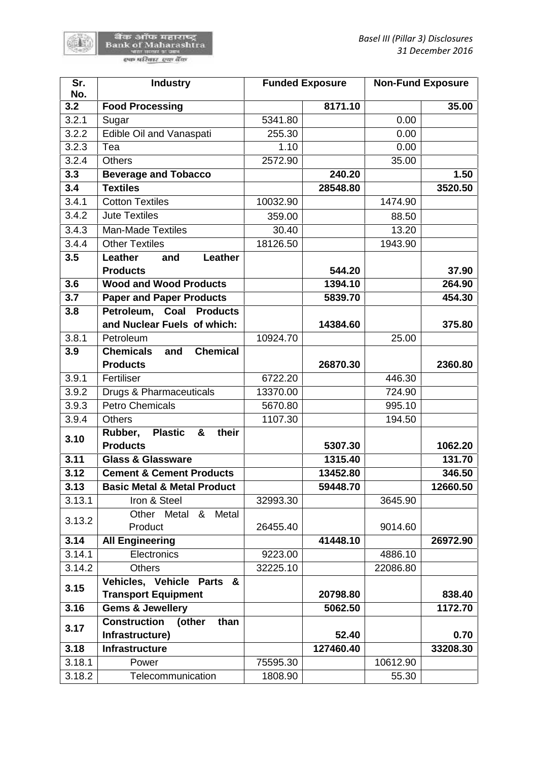陈書

| Sr.<br>No. | <b>Industry</b>                            |          | <b>Funded Exposure</b> | <b>Non-Fund Exposure</b> |          |
|------------|--------------------------------------------|----------|------------------------|--------------------------|----------|
| 3.2        | <b>Food Processing</b>                     |          | 8171.10                |                          | 35.00    |
| 3.2.1      | Sugar                                      | 5341.80  |                        | 0.00                     |          |
| 3.2.2      | Edible Oil and Vanaspati                   | 255.30   |                        | 0.00                     |          |
| 3.2.3      | Tea                                        | 1.10     |                        | 0.00                     |          |
| 3.2.4      | <b>Others</b>                              | 2572.90  |                        | 35.00                    |          |
| 3.3        | <b>Beverage and Tobacco</b>                |          | 240.20                 |                          | 1.50     |
| 3.4        | <b>Textiles</b>                            |          | 28548.80               |                          | 3520.50  |
| 3.4.1      | <b>Cotton Textiles</b>                     | 10032.90 |                        | 1474.90                  |          |
| 3.4.2      | <b>Jute Textiles</b>                       | 359.00   |                        | 88.50                    |          |
| 3.4.3      | <b>Man-Made Textiles</b>                   | 30.40    |                        | 13.20                    |          |
| 3.4.4      | <b>Other Textiles</b>                      | 18126.50 |                        | 1943.90                  |          |
| 3.5        | Leather<br>Leather<br>and                  |          |                        |                          |          |
|            | <b>Products</b>                            |          | 544.20                 |                          | 37.90    |
| 3.6        | <b>Wood and Wood Products</b>              |          | 1394.10                |                          | 264.90   |
| 3.7        | <b>Paper and Paper Products</b>            |          | 5839.70                |                          | 454.30   |
| 3.8        | Petroleum, Coal Products                   |          |                        |                          |          |
|            | and Nuclear Fuels of which:                |          | 14384.60               |                          | 375.80   |
| 3.8.1      | Petroleum                                  | 10924.70 |                        | 25.00                    |          |
| 3.9        | <b>Chemical</b><br><b>Chemicals</b><br>and |          |                        |                          |          |
|            | <b>Products</b>                            |          | 26870.30               |                          | 2360.80  |
| 3.9.1      | Fertiliser                                 | 6722.20  |                        | 446.30                   |          |
| 3.9.2      | Drugs & Pharmaceuticals                    | 13370.00 |                        | 724.90                   |          |
| 3.9.3      | <b>Petro Chemicals</b>                     | 5670.80  |                        | 995.10                   |          |
| 3.9.4      | <b>Others</b>                              | 1107.30  |                        | 194.50                   |          |
| 3.10       | <b>Plastic</b><br>their<br>Rubber,<br>&    |          |                        |                          |          |
|            | <b>Products</b>                            |          | 5307.30                |                          | 1062.20  |
| 3.11       | <b>Glass &amp; Glassware</b>               |          | 1315.40                |                          | 131.70   |
| 3.12       | <b>Cement &amp; Cement Products</b>        |          | 13452.80               |                          | 346.50   |
| 3.13       | <b>Basic Metal &amp; Metal Product</b>     |          | 59448.70               |                          | 12660.50 |
| 3.13.1     | Iron & Steel                               | 32993.30 |                        | 3645.90                  |          |
| 3.13.2     | Metal<br>Other Metal<br>&                  |          |                        |                          |          |
|            | Product                                    | 26455.40 |                        | 9014.60                  |          |
| 3.14       | <b>All Engineering</b>                     |          | 41448.10               |                          | 26972.90 |
| 3.14.1     | Electronics                                | 9223.00  |                        | 4886.10                  |          |
| 3.14.2     | <b>Others</b>                              | 32225.10 |                        | 22086.80                 |          |
| 3.15       | Vehicles, Vehicle Parts &                  |          |                        |                          |          |
|            | <b>Transport Equipment</b>                 |          | 20798.80               |                          | 838.40   |
| 3.16       | <b>Gems &amp; Jewellery</b>                |          | 5062.50                |                          | 1172.70  |
| 3.17       | <b>Construction</b><br>than<br>(other      |          |                        |                          |          |
|            | Infrastructure)                            |          | 52.40                  |                          | 0.70     |
| 3.18       | Infrastructure                             |          | 127460.40              |                          | 33208.30 |
| 3.18.1     | Power                                      | 75595.30 |                        | 10612.90                 |          |
| 3.18.2     | Telecommunication                          | 1808.90  |                        | 55.30                    |          |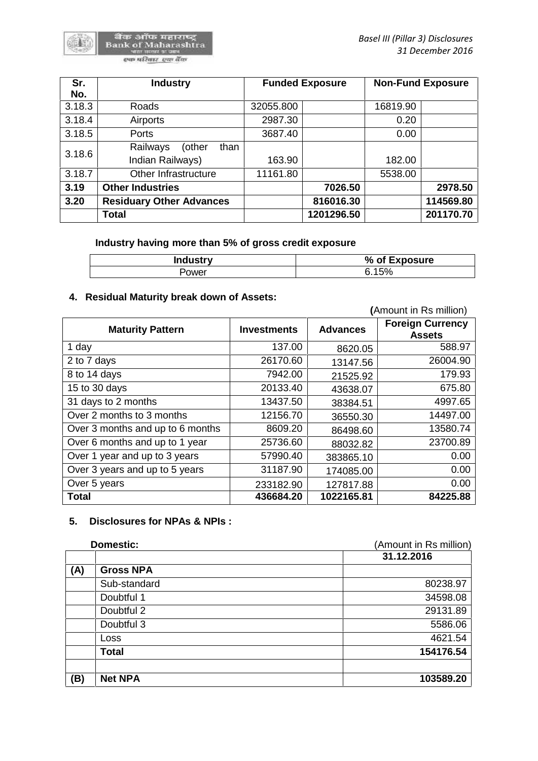| Sr.    | <b>Industry</b>                 |           | <b>Funded Exposure</b> |          | <b>Non-Fund Exposure</b> |
|--------|---------------------------------|-----------|------------------------|----------|--------------------------|
| No.    |                                 |           |                        |          |                          |
| 3.18.3 | Roads                           | 32055.800 |                        | 16819.90 |                          |
| 3.18.4 | Airports                        | 2987.30   |                        | 0.20     |                          |
| 3.18.5 | Ports                           | 3687.40   |                        | 0.00     |                          |
| 3.18.6 | Railways<br>(other<br>than      |           |                        |          |                          |
|        | Indian Railways)                | 163.90    |                        | 182.00   |                          |
| 3.18.7 | Other Infrastructure            | 11161.80  |                        | 5538.00  |                          |
| 3.19   | <b>Other Industries</b>         |           | 7026.50                |          | 2978.50                  |
| 3.20   | <b>Residuary Other Advances</b> |           | 816016.30              |          | 114569.80                |
|        | <b>Total</b>                    |           | 1201296.50             |          | 201170.70                |

### **Industry having more than 5% of gross credit exposure**

| <b>Industry</b> | Exposure<br>$%$ of |
|-----------------|--------------------|
| - ower          | 15%<br>$\sim$      |

# **4. Residual Maturity break down of Assets:**

|                                  |                    |                 | (Amount in Rs million)                   |
|----------------------------------|--------------------|-----------------|------------------------------------------|
| <b>Maturity Pattern</b>          | <b>Investments</b> | <b>Advances</b> | <b>Foreign Currency</b><br><b>Assets</b> |
| 1 day                            | 137.00             | 8620.05         | 588.97                                   |
| 2 to 7 days                      | 26170.60           | 13147.56        | 26004.90                                 |
| 8 to 14 days                     | 7942.00            | 21525.92        | 179.93                                   |
| 15 to 30 days                    | 20133.40           | 43638.07        | 675.80                                   |
| 31 days to 2 months              | 13437.50           | 38384.51        | 4997.65                                  |
| Over 2 months to 3 months        | 12156.70           | 36550.30        | 14497.00                                 |
| Over 3 months and up to 6 months | 8609.20            | 86498.60        | 13580.74                                 |
| Over 6 months and up to 1 year   | 25736.60           | 88032.82        | 23700.89                                 |
| Over 1 year and up to 3 years    | 57990.40           | 383865.10       | 0.00                                     |
| Over 3 years and up to 5 years   | 31187.90           | 174085.00       | 0.00                                     |
| Over 5 years                     | 233182.90          | 127817.88       | 0.00                                     |
| Total                            | 436684.20          | 1022165.81      | 84225.88                                 |

## **5. Disclosures for NPAs & NPIs :**

| <b>Domestic:</b> |                  | (Amount in Rs million) |
|------------------|------------------|------------------------|
|                  |                  | 31.12.2016             |
| (A)              | <b>Gross NPA</b> |                        |
|                  | Sub-standard     | 80238.97               |
|                  | Doubtful 1       | 34598.08               |
|                  | Doubtful 2       | 29131.89               |
|                  | Doubtful 3       | 5586.06                |
|                  | Loss             | 4621.54                |
|                  | <b>Total</b>     | 154176.54              |
| (B)              | <b>Net NPA</b>   | 103589.20              |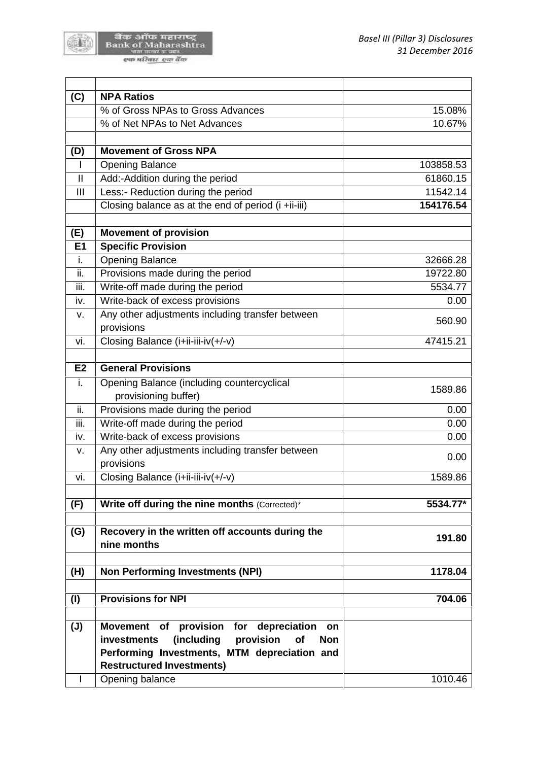बैंक ऑफ महाराष्ट्र<br>Bank of Maharashtra<br>पात मंडल प्रथम एक परिवार एक बैंक

()

| (C)<br><b>NPA Ratios</b>                                                                                                     |           |
|------------------------------------------------------------------------------------------------------------------------------|-----------|
| % of Gross NPAs to Gross Advances                                                                                            | 15.08%    |
| % of Net NPAs to Net Advances                                                                                                | 10.67%    |
| <b>Movement of Gross NPA</b>                                                                                                 |           |
| (D)                                                                                                                          | 103858.53 |
| <b>Opening Balance</b>                                                                                                       |           |
| $\sf II$<br>Add:-Addition during the period                                                                                  | 61860.15  |
| Less:- Reduction during the period<br>$\mathbf{III}$                                                                         | 11542.14  |
| Closing balance as at the end of period (i +ii-iii)                                                                          | 154176.54 |
| <b>Movement of provision</b><br>(E)                                                                                          |           |
| <b>Specific Provision</b><br>E1                                                                                              |           |
| <b>Opening Balance</b><br>i.                                                                                                 | 32666.28  |
| Provisions made during the period<br>ii.                                                                                     | 19722.80  |
| Write-off made during the period<br>iii.                                                                                     | 5534.77   |
| Write-back of excess provisions<br>iv.                                                                                       | 0.00      |
| Any other adjustments including transfer between<br>v.                                                                       |           |
| provisions                                                                                                                   | 560.90    |
| Closing Balance (i+ii-iii-iv(+/-v)<br>vi.                                                                                    | 47415.21  |
|                                                                                                                              |           |
| <b>General Provisions</b><br>E <sub>2</sub>                                                                                  |           |
| i.<br>Opening Balance (including countercyclical                                                                             | 1589.86   |
| provisioning buffer)                                                                                                         |           |
| ii.<br>Provisions made during the period                                                                                     | 0.00      |
| iii.<br>Write-off made during the period                                                                                     | 0.00      |
| Write-back of excess provisions<br>iv.                                                                                       | 0.00      |
| Any other adjustments including transfer between<br>V.                                                                       | 0.00      |
| provisions                                                                                                                   |           |
| Closing Balance (i+ii-iii-iv(+/-v)<br>vi.                                                                                    | 1589.86   |
| (F)<br>Write off during the nine months (Corrected)*                                                                         | 5534.77*  |
|                                                                                                                              |           |
| (G)<br>Recovery in the written off accounts during the<br>nine months                                                        | 191.80    |
| (H)<br><b>Non Performing Investments (NPI)</b>                                                                               | 1178.04   |
|                                                                                                                              |           |
| <b>Provisions for NPI</b><br>(1)                                                                                             | 704.06    |
| Movement of provision for depreciation<br>$(\mathsf{U})$<br>on<br>provision<br>(including<br>of<br>investments<br><b>Non</b> |           |
| Performing Investments, MTM depreciation and<br><b>Restructured Investments)</b>                                             |           |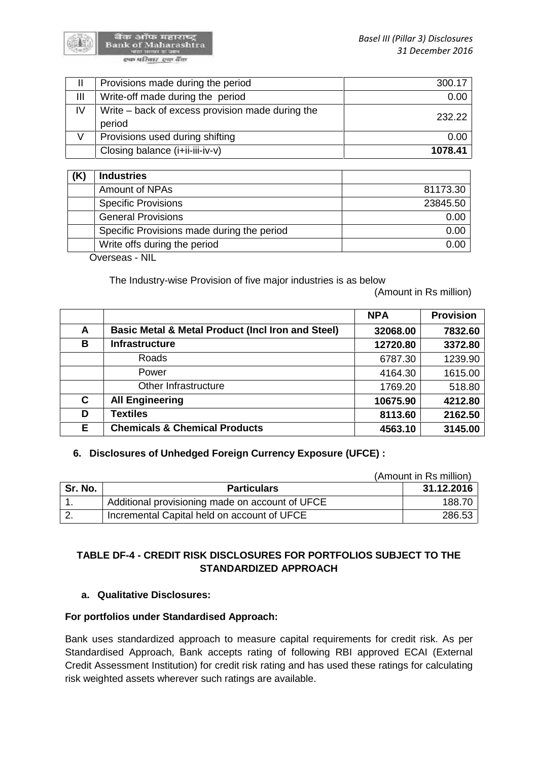

बैंक ऑफ महाराष्ट्र<br>Bank of Maharashtra एक परि<u>वार</u> एक वैंक

| Ш  | Provisions made during the period                          | 300.17  |
|----|------------------------------------------------------------|---------|
| Ш  | Write-off made during the period                           | 0.00    |
| IV | Write – back of excess provision made during the<br>period | 232.22  |
| V  | Provisions used during shifting                            | 0.00    |
|    | Closing balance (i+ii-iii-iv-v)                            | 1078.41 |

| <b>Industries</b>                          |          |
|--------------------------------------------|----------|
| Amount of NPAs                             | 81173.30 |
| <b>Specific Provisions</b>                 | 23845.50 |
| <b>General Provisions</b>                  | 0.00     |
| Specific Provisions made during the period | 0.00     |
| Write offs during the period               | 0.00     |

Overseas - NIL

The Industry-wise Provision of five major industries is as below

(Amount in Rs million)

|   |                                                              | <b>NPA</b> | <b>Provision</b> |
|---|--------------------------------------------------------------|------------|------------------|
| A | <b>Basic Metal &amp; Metal Product (Incl Iron and Steel)</b> | 32068.00   | 7832.60          |
| B | <b>Infrastructure</b>                                        | 12720.80   | 3372.80          |
|   | <b>Roads</b>                                                 | 6787.30    | 1239.90          |
|   | Power                                                        | 4164.30    | 1615.00          |
|   | Other Infrastructure                                         | 1769.20    | 518.80           |
| C | <b>All Engineering</b>                                       | 10675.90   | 4212.80          |
| D | <b>Textiles</b>                                              | 8113.60    | 2162.50          |
| Е | <b>Chemicals &amp; Chemical Products</b>                     | 4563.10    | 3145.00          |

## **6. Disclosures of Unhedged Foreign Currency Exposure (UFCE) :**

|          |                                                 | (Amount in Rs million) |  |
|----------|-------------------------------------------------|------------------------|--|
| Sr. No.  | <b>Particulars</b>                              | 31.12.2016             |  |
|          | Additional provisioning made on account of UFCE | 188.70                 |  |
| <u>.</u> | Incremental Capital held on account of UFCE     | 286.53                 |  |

# **TABLE DF-4 - CREDIT RISK DISCLOSURES FOR PORTFOLIOS SUBJECT TO THE STANDARDIZED APPROACH**

## **a. Qualitative Disclosures:**

## **For portfolios under Standardised Approach:**

Bank uses standardized approach to measure capital requirements for credit risk. As per Standardised Approach, Bank accepts rating of following RBI approved ECAI (External Credit Assessment Institution) for credit risk rating and has used these ratings for calculating risk weighted assets wherever such ratings are available.